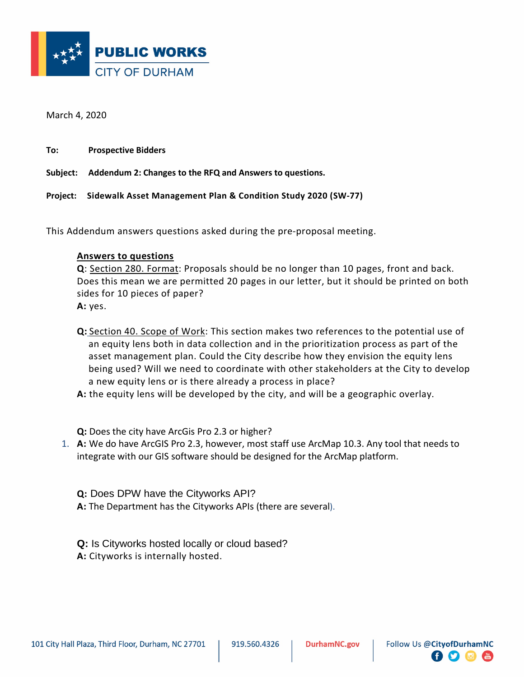

March 4, 2020

**To: Prospective Bidders**

**Subject: Addendum 2: Changes to the RFQ and Answers to questions.**

**Project: Sidewalk Asset Management Plan & Condition Study 2020 (SW-77)**

This Addendum answers questions asked during the pre-proposal meeting.

## **Answers to questions**

**Q**: Section 280. Format: Proposals should be no longer than 10 pages, front and back. Does this mean we are permitted 20 pages in our letter, but it should be printed on both sides for 10 pieces of paper?

**A:** yes.

- **Q:** Section 40. Scope of Work: This section makes two references to the potential use of an equity lens both in data collection and in the prioritization process as part of the asset management plan. Could the City describe how they envision the equity lens being used? Will we need to coordinate with other stakeholders at the City to develop a new equity lens or is there already a process in place?
- **A:** the equity lens will be developed by the city, and will be a geographic overlay.

**Q:** Does the city have ArcGis Pro 2.3 or higher?

- 1. **A:** We do have ArcGIS Pro 2.3, however, most staff use ArcMap 10.3. Any tool that needs to integrate with our GIS software should be designed for the ArcMap platform.
	- **Q:** Does DPW have the Cityworks API?
	- **A:** The Department has the Cityworks APIs (there are several).
	- **Q:** Is Cityworks hosted locally or cloud based? **A:** Cityworks is internally hosted.